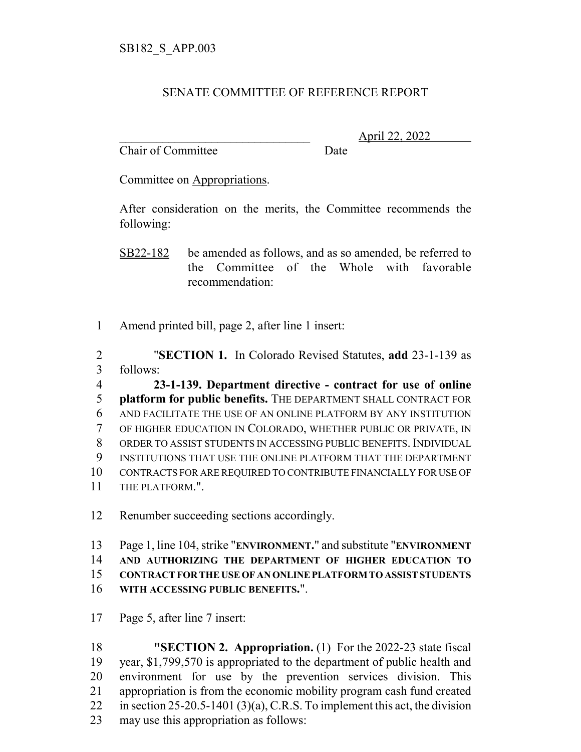## SENATE COMMITTEE OF REFERENCE REPORT

Chair of Committee Date

\_\_\_\_\_\_\_\_\_\_\_\_\_\_\_\_\_\_\_\_\_\_\_\_\_\_\_\_\_\_\_ April 22, 2022

Committee on Appropriations.

After consideration on the merits, the Committee recommends the following:

SB22-182 be amended as follows, and as so amended, be referred to the Committee of the Whole with favorable recommendation:

Amend printed bill, page 2, after line 1 insert:

 "**SECTION 1.** In Colorado Revised Statutes, **add** 23-1-139 as follows:

 **23-1-139. Department directive - contract for use of online platform for public benefits.** THE DEPARTMENT SHALL CONTRACT FOR AND FACILITATE THE USE OF AN ONLINE PLATFORM BY ANY INSTITUTION OF HIGHER EDUCATION IN COLORADO, WHETHER PUBLIC OR PRIVATE, IN ORDER TO ASSIST STUDENTS IN ACCESSING PUBLIC BENEFITS. INDIVIDUAL INSTITUTIONS THAT USE THE ONLINE PLATFORM THAT THE DEPARTMENT CONTRACTS FOR ARE REQUIRED TO CONTRIBUTE FINANCIALLY FOR USE OF THE PLATFORM.".

Renumber succeeding sections accordingly.

 Page 1, line 104, strike "**ENVIRONMENT.**" and substitute "**ENVIRONMENT AND AUTHORIZING THE DEPARTMENT OF HIGHER EDUCATION TO CONTRACT FOR THE USE OF AN ONLINE PLATFORM TO ASSIST STUDENTS WITH ACCESSING PUBLIC BENEFITS.**".

Page 5, after line 7 insert:

 **"SECTION 2. Appropriation.** (1) For the 2022-23 state fiscal year, \$1,799,570 is appropriated to the department of public health and environment for use by the prevention services division. This appropriation is from the economic mobility program cash fund created in section 25-20.5-1401 (3)(a), C.R.S. To implement this act, the division may use this appropriation as follows: